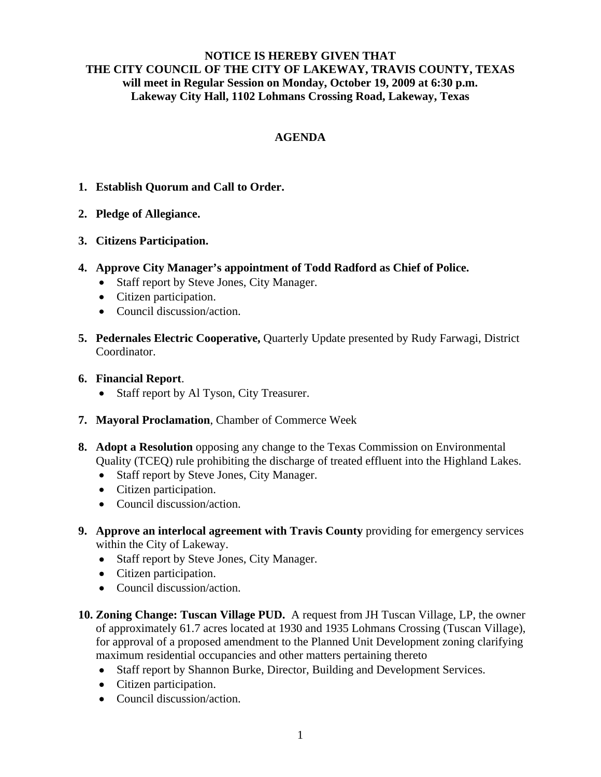## **NOTICE IS HEREBY GIVEN THAT THE CITY COUNCIL OF THE CITY OF LAKEWAY, TRAVIS COUNTY, TEXAS will meet in Regular Session on Monday, October 19, 2009 at 6:30 p.m. Lakeway City Hall, 1102 Lohmans Crossing Road, Lakeway, Texas**

## **AGENDA**

- **1. Establish Quorum and Call to Order.**
- **2. Pledge of Allegiance.**
- **3. Citizens Participation.**
- **4. Approve City Manager's appointment of Todd Radford as Chief of Police.**
	- Staff report by Steve Jones, City Manager.
	- Citizen participation.
	- Council discussion/action.
- **5. Pedernales Electric Cooperative,** Quarterly Update presented by Rudy Farwagi, District Coordinator.
- **6. Financial Report**.
	- Staff report by Al Tyson, City Treasurer.
- **7. Mayoral Proclamation**, Chamber of Commerce Week
- **8. Adopt a Resolution** opposing any change to the Texas Commission on Environmental Quality (TCEQ) rule prohibiting the discharge of treated effluent into the Highland Lakes.
	- Staff report by Steve Jones, City Manager.
	- Citizen participation.
	- Council discussion/action.
- **9. Approve an interlocal agreement with Travis County** providing for emergency services within the City of Lakeway.
	- Staff report by Steve Jones, City Manager.
	- Citizen participation.
	- Council discussion/action.
- **10. Zoning Change: Tuscan Village PUD.** A request from JH Tuscan Village, LP, the owner of approximately 61.7 acres located at 1930 and 1935 Lohmans Crossing (Tuscan Village), for approval of a proposed amendment to the Planned Unit Development zoning clarifying maximum residential occupancies and other matters pertaining thereto
	- Staff report by Shannon Burke, Director, Building and Development Services.
	- Citizen participation.
	- Council discussion/action.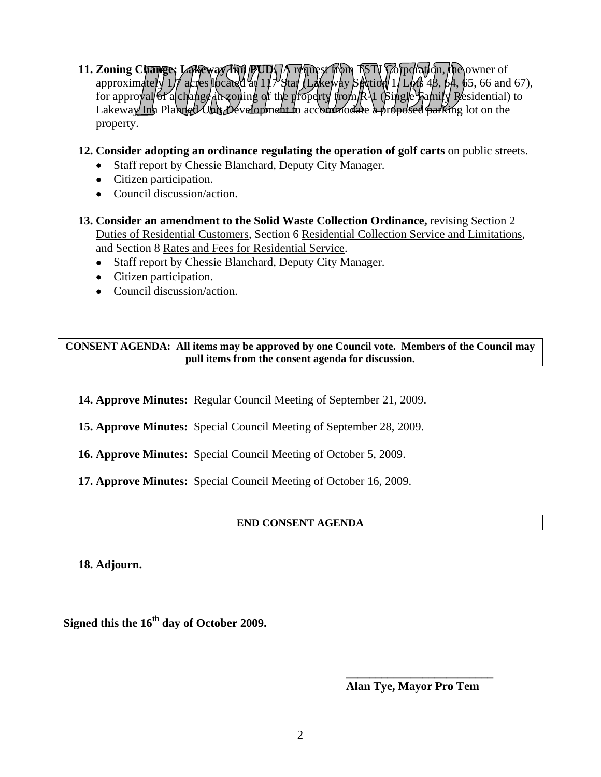- **11. Zoning Change: Lakeway Ann PUD. A request from TSTV Corporation, the owner of** approximately  $1/f$  acres located at  $117'$  Star (Lakeway Section 1/Lots 48, 64, 65, 66 and 67), for approval of a change in zoning of the property from  $R\setminus 1$  (single Family Residential) to  $L$ akeway Inn Planned Unit Development to accommodate a proposed parking lot on the property.
- **12. Consider adopting an ordinance regulating the operation of golf carts** on public streets.
	- Staff report by Chessie Blanchard, Deputy City Manager.
	- Citizen participation.
	- Council discussion/action.
- **13. Consider an amendment to the Solid Waste Collection Ordinance,** revising Section 2 Duties of Residential Customers, Section 6 Residential Collection Service and Limitations, and Section 8 Rates and Fees for Residential Service.
	- Staff report by Chessie Blanchard, Deputy City Manager.
	- Citizen participation.
	- Council discussion/action.

**CONSENT AGENDA: All items may be approved by one Council vote. Members of the Council may pull items from the consent agenda for discussion.** 

**14. Approve Minutes:** Regular Council Meeting of September 21, 2009.

**15. Approve Minutes:** Special Council Meeting of September 28, 2009.

**16. Approve Minutes:** Special Council Meeting of October 5, 2009.

**17. Approve Minutes:** Special Council Meeting of October 16, 2009.

## **END CONSENT AGENDA**

**18. Adjourn.** 

**Signed this the 16th day of October 2009.** 

**Alan Tye, Mayor Pro Tem** 

 **\_\_\_\_\_\_\_\_\_\_\_\_\_\_\_\_\_\_\_\_\_\_\_\_\_**